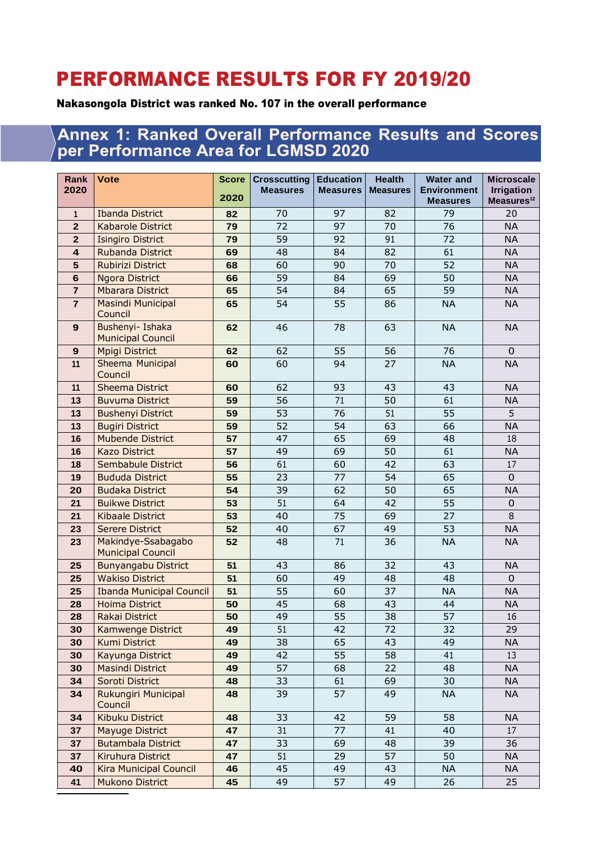## PERFORMANCE RESULTS FOR FY 2019/20

## Nakasongola District was ranked No. 107 in the overall performance

## Annex 1: Ranked Overall Performance Results and Scores per Performance Area for LGMSD 2020

| Rank<br>2020   | <b>Vote</b>                                    | <b>Score</b> | <b>Crosscutting</b><br><b>Measures</b> | <b>Education</b><br><b>Measures</b> | <b>Health</b><br><b>Measures</b> | <b>Water and</b><br><b>Environment</b> | <b>Microscale</b><br><b>Irrigation</b> |
|----------------|------------------------------------------------|--------------|----------------------------------------|-------------------------------------|----------------------------------|----------------------------------------|----------------------------------------|
|                |                                                | 2020         |                                        |                                     |                                  | <b>Measures</b>                        | Measures <sup>12</sup>                 |
| $\mathbf{1}$   | <b>Ibanda District</b>                         | 82           | 70                                     | 97                                  | 82                               | 79                                     | 20                                     |
| $\overline{2}$ | <b>Kabarole District</b>                       | 79           | 72                                     | 97                                  | 70                               | 76                                     | <b>NA</b>                              |
| $\mathbf{2}$   | <b>Isingiro District</b>                       | 79           | 59                                     | 92                                  | 91                               | 72                                     | <b>NA</b>                              |
| 4              | <b>Rubanda District</b>                        | 69           | 48                                     | 84                                  | 82                               | 61                                     | <b>NA</b>                              |
| 5              | Rubirizi District                              | 68           | 60                                     | 90                                  | 70                               | 52                                     | <b>NA</b>                              |
| 6              | <b>Ngora District</b>                          | 66           | 59                                     | 84                                  | 69                               | 50                                     | <b>NA</b>                              |
| $\overline{7}$ | <b>Mbarara District</b>                        | 65           | 54                                     | 84                                  | 65                               | 59                                     | <b>NA</b>                              |
| $\overline{7}$ | <b>Masindi Municipal</b><br>Council            | 65           | 54                                     | 55                                  | 86                               | <b>NA</b>                              | <b>NA</b>                              |
| 9              | Bushenyi- Ishaka<br><b>Municipal Council</b>   | 62           | 46                                     | 78                                  | 63                               | <b>NA</b>                              | <b>NA</b>                              |
| 9              | <b>Mpigi District</b>                          | 62           | 62                                     | 55                                  | 56                               | 76                                     | $\mathbf 0$                            |
| 11             | Sheema Municipal<br>Council                    | 60           | 60                                     | 94                                  | 27                               | <b>NA</b>                              | <b>NA</b>                              |
| 11             | <b>Sheema District</b>                         | 60           | 62                                     | 93                                  | 43                               | 43                                     | <b>NA</b>                              |
| 13             | <b>Buvuma District</b>                         | 59           | 56                                     | 71                                  | 50                               | 61                                     | <b>NA</b>                              |
| 13             | <b>Bushenyi District</b>                       | 59           | 53                                     | 76                                  | 51                               | 55                                     | 5                                      |
| 13             | <b>Bugiri District</b>                         | 59           | 52                                     | 54                                  | 63                               | 66                                     | <b>NA</b>                              |
| 16             | <b>Mubende District</b>                        | 57           | 47                                     | 65                                  | 69                               | 48                                     | 18                                     |
| 16             | <b>Kazo District</b>                           | 57           | 49                                     | 69                                  | 50                               | 61                                     | <b>NA</b>                              |
| 18             | Sembabule District                             | 56           | 61                                     | 60                                  | 42                               | 63                                     | 17                                     |
| 19             | <b>Bududa District</b>                         | 55           | 23                                     | 77                                  | 54                               | 65                                     | $\mathbf 0$                            |
| 20             | <b>Budaka District</b>                         | 54           | 39                                     | 62                                  | 50                               | 65                                     | <b>NA</b>                              |
| 21             | <b>Buikwe District</b>                         | 53           | 51                                     | 64                                  | 42                               | 55                                     | 0                                      |
| 21             | <b>Kibaale District</b>                        | 53           | 40                                     | 75                                  | 69                               | 27                                     | 8                                      |
| 23             | <b>Serere District</b>                         | 52           | 40                                     | 67                                  | 49                               | 53                                     | <b>NA</b>                              |
| 23             | Makindye-Ssabagabo<br><b>Municipal Council</b> | 52           | 48                                     | 71                                  | 36                               | <b>NA</b>                              | <b>NA</b>                              |
| 25             | <b>Bunyangabu District</b>                     | 51           | 43                                     | 86                                  | 32                               | 43                                     | <b>NA</b>                              |
| 25             | <b>Wakiso District</b>                         | 51           | 60                                     | 49                                  | 48                               | 48                                     | $\mathbf{0}$                           |
| 25             | <b>Ibanda Municipal Council</b>                | 51           | 55                                     | 60                                  | 37                               | <b>NA</b>                              | <b>NA</b>                              |
| 28             | <b>Hoima District</b>                          | 50           | 45                                     | 68                                  | 43                               | 44                                     | <b>NA</b>                              |
| 28             | Rakai District                                 | 50           | 49                                     | $\overline{55}$                     | $\overline{38}$                  | $\overline{57}$                        | 16                                     |
| 30             | <b>Kamwenge District</b>                       | 49           | 51                                     | 42                                  | 72                               | 32                                     | 29                                     |
| 30             | <b>Kumi District</b>                           | 49           | 38                                     | 65                                  | 43                               | 49                                     | <b>NA</b>                              |
| 30             | Kayunga District                               | 49           | 42                                     | 55                                  | 58                               | 41                                     | 13                                     |
| 30             | <b>Masindi District</b>                        | 49           | 57                                     | 68                                  | 22                               | 48                                     | <b>NA</b>                              |
| 34             | Soroti District                                | 48           | 33                                     | 61                                  | 69                               | 30                                     | <b>NA</b>                              |
| 34             | Rukungiri Municipal<br>Council                 | 48           | 39                                     | 57                                  | 49                               | <b>NA</b>                              | <b>NA</b>                              |
| 34             | <b>Kibuku District</b>                         | 48           | 33                                     | 42                                  | 59                               | 58                                     | <b>NA</b>                              |
| 37             | <b>Mayuge District</b>                         | 47           | 31                                     | 77                                  | 41                               | 40                                     | 17                                     |
| 37             | <b>Butambala District</b>                      | 47           | 33                                     | 69                                  | 48                               | 39                                     | 36                                     |
| 37             | Kiruhura District                              | 47           | 51                                     | 29                                  | 57                               | 50                                     | <b>NA</b>                              |
| 40             | <b>Kira Municipal Council</b>                  | 46           | 45                                     | 49                                  | 43                               | <b>NA</b>                              | <b>NA</b>                              |
| 41             | <b>Mukono District</b>                         | 45           | 49                                     | 57                                  | 49                               | 26                                     | 25                                     |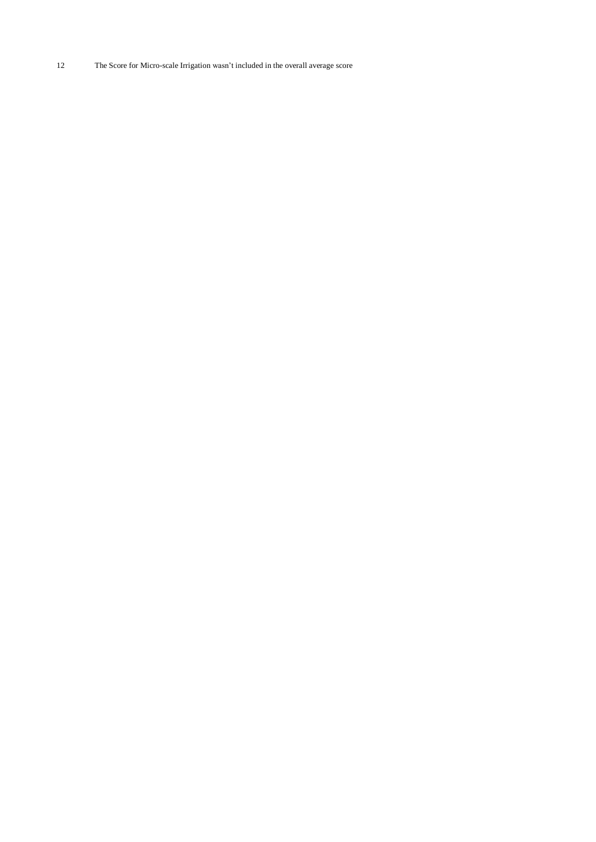The Score for Micro-scale Irrigation wasn't included in the overall average score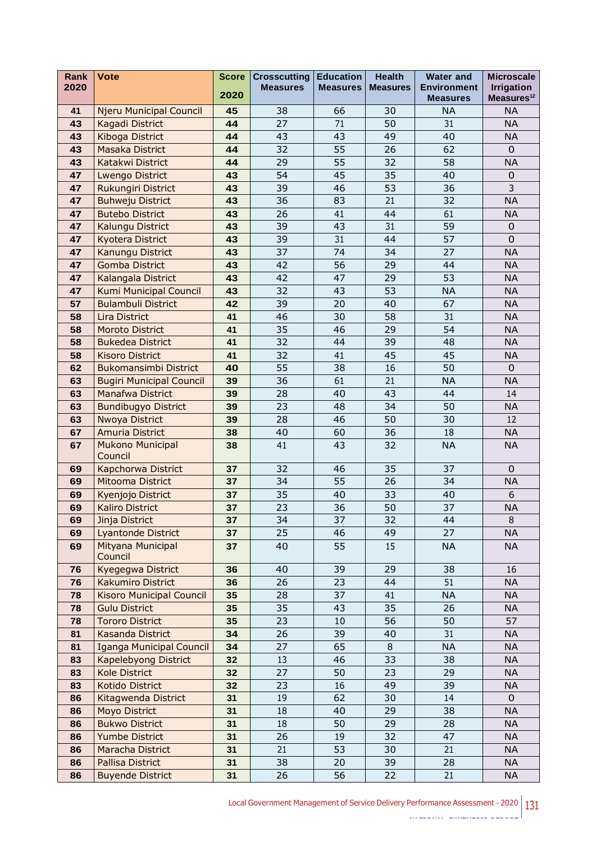| <b>Rank</b> | <b>Vote</b>                        | <b>Score</b> | <b>Crosscutting</b> | <b>Education</b> | <b>Health</b>   | <b>Water and</b>                      | <b>Microscale</b>                           |
|-------------|------------------------------------|--------------|---------------------|------------------|-----------------|---------------------------------------|---------------------------------------------|
| 2020        |                                    | 2020         | <b>Measures</b>     | <b>Measures</b>  | <b>Measures</b> | <b>Environment</b><br><b>Measures</b> | <b>Irrigation</b><br>Measures <sup>12</sup> |
| 41          | <b>Njeru Municipal Council</b>     | 45           | 38                  | 66               | 30              | <b>NA</b>                             | <b>NA</b>                                   |
| 43          | Kagadi District                    | 44           | 27                  | 71               | 50              | 31                                    | <b>NA</b>                                   |
| 43          | Kiboga District                    | 44           | 43                  | 43               | 49              | 40                                    | <b>NA</b>                                   |
| 43          | <b>Masaka District</b>             | 44           | 32                  | 55               | 26              | 62                                    | $\mathbf 0$                                 |
| 43          | Katakwi District                   | 44           | 29                  | 55               | 32              | 58                                    | <b>NA</b>                                   |
| 47          | <b>Lwengo District</b>             | 43           | 54                  | 45               | 35              | 40                                    | 0                                           |
| 47          | <b>Rukungiri District</b>          | 43           | 39                  | 46               | 53              | 36                                    | 3                                           |
| 47          | <b>Buhweju District</b>            | 43           | 36                  | 83               | 21              | 32                                    | <b>NA</b>                                   |
| 47          | <b>Butebo District</b>             | 43           | 26                  | 41               | 44              | 61                                    | <b>NA</b>                                   |
| 47          | Kalungu District                   | 43           | 39                  | 43               | 31              | 59                                    | $\boldsymbol{0}$                            |
| 47          | <b>Kyotera District</b>            | 43           | 39                  | 31               | 44              | 57                                    | 0                                           |
| 47          | Kanungu District                   | 43           | 37                  | 74               | 34              | 27                                    | <b>NA</b>                                   |
| 47          | <b>Gomba District</b>              | 43           | 42                  | 56               | 29              | 44                                    | <b>NA</b>                                   |
| 47          | Kalangala District                 | 43           | 42                  | 47               | 29              | 53                                    | <b>NA</b>                                   |
| 47          | <b>Kumi Municipal Council</b>      | 43           | 32                  | 43               | 53              | <b>NA</b>                             | <b>NA</b>                                   |
| 57          | <b>Bulambuli District</b>          | 42           | 39                  | 20               | 40              | 67                                    | <b>NA</b>                                   |
| 58          | <b>Lira District</b>               | 41           | 46                  | 30               | 58              | 31                                    | <b>NA</b>                                   |
| 58          | <b>Moroto District</b>             | 41           | 35                  | 46               | 29              | 54                                    | <b>NA</b>                                   |
| 58          | <b>Bukedea District</b>            | 41           | 32                  | 44               | 39              | 48                                    | <b>NA</b>                                   |
| 58          | <b>Kisoro District</b>             | 41           | 32                  | 41               | 45              | 45                                    | <b>NA</b>                                   |
| 62          | <b>Bukomansimbi District</b>       | 40           | 55                  | 38               | 16              | 50                                    | $\mathbf 0$                                 |
| 63          | <b>Bugiri Municipal Council</b>    | 39           | 36                  | 61               | 21              | <b>NA</b>                             | <b>NA</b>                                   |
| 63          | <b>Manafwa District</b>            | 39           | 28                  | 40               | 43              | 44                                    | 14                                          |
| 63          | <b>Bundibugyo District</b>         | 39           | 23                  | 48               | 34              | 50                                    | <b>NA</b>                                   |
| 63          | Nwoya District                     | 39           | 28                  | 46               | 50              | 30                                    | 12                                          |
| 67          | <b>Amuria District</b>             | 38           | 40                  | 60               | 36              | 18                                    | <b>NA</b>                                   |
| 67          | <b>Mukono Municipal</b><br>Council | 38           | 41                  | 43               | 32              | <b>NA</b>                             | <b>NA</b>                                   |
| 69          | Kapchorwa District                 | 37           | 32                  | 46               | 35              | 37                                    | 0                                           |
| 69          | Mitooma District                   | 37           | 34                  | 55               | 26              | 34                                    | <b>NA</b>                                   |
| 69          | Kyenjojo District                  | 37           | 35                  | 40               | 33              | 40                                    | 6                                           |
| 69          | <b>Kaliro District</b>             | 37           | 23                  | 36               | 50              | 37                                    | <b>NA</b>                                   |
| 69          | Jinja District                     | 37           | 34                  | 37               | 32              | 44                                    | 8                                           |
| 69          | <b>Lyantonde District</b>          | 37           | 25                  | 46               | 49              | 27                                    | <b>NA</b>                                   |
| 69          | Mityana Municipal<br>Council       | 37           | 40                  | 55               | 15              | <b>NA</b>                             | <b>NA</b>                                   |
| 76          | Kyegegwa District                  | 36           | 40                  | 39               | 29              | 38                                    | 16                                          |
| 76          | <b>Kakumiro District</b>           | 36           | 26                  | 23               | 44              | 51                                    | <b>NA</b>                                   |
| 78          | <b>Kisoro Municipal Council</b>    | 35           | 28                  | 37               | 41              | <b>NA</b>                             | <b>NA</b>                                   |
| 78          | <b>Gulu District</b>               | 35           | 35                  | 43               | 35              | 26                                    | <b>NA</b>                                   |
| 78          | <b>Tororo District</b>             | 35           | 23                  | $10\,$           | 56              | 50                                    | 57                                          |
| 81          | <b>Kasanda District</b>            | 34           | 26                  | 39               | 40              | 31                                    | <b>NA</b>                                   |
| 81          | <b>Iganga Municipal Council</b>    | 34           | 27                  | 65               | $\,8\,$         | <b>NA</b>                             | <b>NA</b>                                   |
| 83          | Kapelebyong District               | 32           | 13                  | 46               | 33              | 38                                    | <b>NA</b>                                   |
| 83          | <b>Kole District</b>               | 32           | 27                  | 50               | 23              | 29                                    | <b>NA</b>                                   |
| 83          | Kotido District                    | 32           | 23                  | 16               | 49              | 39                                    | <b>NA</b>                                   |
| 86          | Kitagwenda District                | 31           | 19                  | 62               | 30              | 14                                    | $\mathbf 0$                                 |
| 86          | <b>Moyo District</b>               | 31           | 18                  | 40               | 29              | 38                                    | <b>NA</b>                                   |
| 86          | <b>Bukwo District</b>              | 31           | 18                  | 50               | 29              | 28                                    | <b>NA</b>                                   |
| 86          | <b>Yumbe District</b>              | 31           | 26                  | 19               | 32              | 47                                    | <b>NA</b>                                   |
| 86          | Maracha District                   | 31           | 21                  | 53               | 30              | 21                                    | <b>NA</b>                                   |
| 86          | <b>Pallisa District</b>            | 31           | 38                  | 20               | 39              | 28                                    | <b>NA</b>                                   |
| 86          | <b>Buyende District</b>            | 31           | 26                  | 56               | 22              | 21                                    | <b>NA</b>                                   |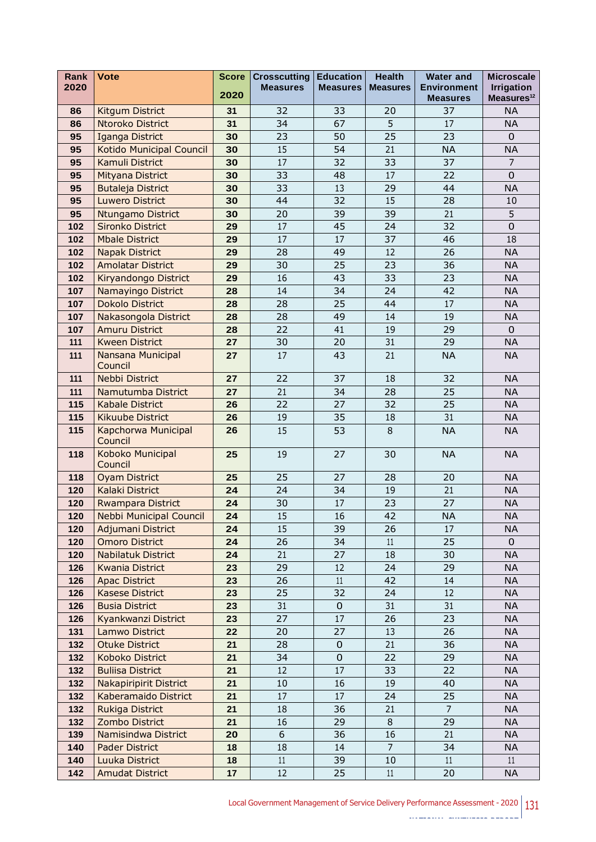| Rank       | <b>Vote</b>                                           | <b>Score</b> | <b>Crosscutting</b> | <b>Education</b> | <b>Health</b>   | <b>Water and</b>                      | <b>Microscale</b>                           |
|------------|-------------------------------------------------------|--------------|---------------------|------------------|-----------------|---------------------------------------|---------------------------------------------|
| 2020       |                                                       | 2020         | <b>Measures</b>     | <b>Measures</b>  | <b>Measures</b> | <b>Environment</b><br><b>Measures</b> | <b>Irrigation</b><br>Measures <sup>12</sup> |
| 86         | Kitgum District                                       | 31           | 32                  | 33               | 20              | 37                                    | <b>NA</b>                                   |
| 86         | Ntoroko District                                      | 31           | 34                  | 67               | 5               | 17                                    | <b>NA</b>                                   |
| 95         | Iganga District                                       | 30           | 23                  | 50               | 25              | 23                                    | $\mathbf 0$                                 |
| 95         | Kotido Municipal Council                              | 30           | 15                  | 54               | 21              | <b>NA</b>                             | <b>NA</b>                                   |
| 95         | Kamuli District                                       | 30           | 17                  | 32               | 33              | 37                                    | $\overline{7}$                              |
| 95         | Mityana District                                      | 30           | 33                  | 48               | 17              | 22                                    | $\Omega$                                    |
| 95         | <b>Butaleja District</b>                              | 30           | 33                  | 13               | 29              | 44                                    | <b>NA</b>                                   |
| 95         | <b>Luwero District</b>                                | 30           | 44                  | 32               | 15              | 28                                    | 10                                          |
| 95         | <b>Ntungamo District</b>                              | 30           | 20                  | 39               | 39              | 21                                    | 5                                           |
| 102        | <b>Sironko District</b>                               | 29           | 17                  | 45               | 24              | 32                                    | $\mathbf 0$                                 |
| 102        | <b>Mbale District</b>                                 | 29           | 17                  | 17               | 37              | 46                                    | 18                                          |
| 102        | <b>Napak District</b>                                 | 29           | 28                  | 49               | 12              | 26                                    | <b>NA</b>                                   |
| 102        | <b>Amolatar District</b>                              | 29           | 30                  | 25               | 23              | 36                                    | <b>NA</b>                                   |
| 102        | Kiryandongo District                                  | 29           | 16                  | 43               | 33              | 23                                    | <b>NA</b>                                   |
| 107        | Namayingo District                                    | 28           | 14                  | 34               | 24              | 42                                    | <b>NA</b>                                   |
| 107        | <b>Dokolo District</b>                                | 28           | 28                  | 25               | 44              | 17                                    | <b>NA</b>                                   |
| 107        | Nakasongola District                                  | 28           | 28                  | 49               | 14              | 19                                    | <b>NA</b>                                   |
| 107        | <b>Amuru District</b>                                 | 28           | 22                  | 41               | 19              | 29                                    | $\mathbf{0}$                                |
| 111        | <b>Kween District</b>                                 | 27           | 30                  | 20               | 31              | 29                                    | <b>NA</b>                                   |
| 111        | Nansana Municipal<br>Council                          | 27           | 17                  | 43               | 21              | <b>NA</b>                             | <b>NA</b>                                   |
| 111        | Nebbi District                                        | 27           | 22                  | 37               | 18              | 32                                    | <b>NA</b>                                   |
| 111        | Namutumba District                                    | 27           | 21                  | $\overline{34}$  | 28              | 25                                    | <b>NA</b>                                   |
| 115        | <b>Kabale District</b>                                | 26           | 22                  | 27               | 32              | 25                                    | <b>NA</b>                                   |
| 115        | <b>Kikuube District</b>                               | 26           | 19                  | 35               | 18              | 31                                    | <b>NA</b>                                   |
| 115        | Kapchorwa Municipal<br>Council                        | 26           | 15                  | 53               | 8               | <b>NA</b>                             | <b>NA</b>                                   |
| 118        | Koboko Municipal<br>Council                           | 25           | 19                  | 27               | 30              | <b>NA</b>                             | <b>NA</b>                                   |
| 118        | <b>Oyam District</b>                                  | 25           | 25                  | 27               | 28              | 20                                    | <b>NA</b>                                   |
| 120        | <b>Kalaki District</b>                                | 24           | 24                  | 34               | 19              | 21                                    | <b>NA</b>                                   |
| 120        | <b>Rwampara District</b>                              | 24           | 30                  | 17               | 23              | 27                                    | <b>NA</b>                                   |
| 120        | <b>Nebbi Municipal Council</b>                        | 24           | 15                  | $16\,$           | 42              | $\sf NA$                              | <b>NA</b>                                   |
| 120        | Adjumani District                                     | 24           | 15                  | 39               | 26              | 17                                    | <b>NA</b>                                   |
| 120        | <b>Omoro District</b>                                 | 24           | 26                  | 34               | 11              | 25                                    | $\mathbf{0}$                                |
| 120        | <b>Nabilatuk District</b>                             | 24           | 21                  | 27               | 18              | 30                                    | <b>NA</b>                                   |
| 126        | <b>Kwania District</b>                                | 23           | 29                  | 12               | 24              | 29                                    | <b>NA</b>                                   |
| 126        | <b>Apac District</b>                                  | 23           | 26                  | 11               | 42              | 14                                    | <b>NA</b>                                   |
| 126        | <b>Kasese District</b>                                | 23           | 25                  | 32               | 24              | 12                                    | <b>NA</b>                                   |
| 126        | <b>Busia District</b>                                 | 23           | 31                  | $\mathbf 0$      | 31              | 31                                    | <b>NA</b>                                   |
| 126        | Kyankwanzi District                                   | 23           | 27                  | 17               | 26              | 23                                    | <b>NA</b>                                   |
| 131        | Lamwo District                                        | 22           | 20                  | 27               | 13              | 26                                    | <b>NA</b>                                   |
| 132        | <b>Otuke District</b>                                 | 21           | 28                  | $\mathbf 0$      | 21              | 36                                    | <b>NA</b>                                   |
| 132        | Koboko District                                       | 21           | 34                  | $\mathbf 0$      | 22              | 29                                    | <b>NA</b>                                   |
| 132        | <b>Buliisa District</b>                               | 21           | 12                  | 17               | 33<br>19        | 22                                    | <b>NA</b>                                   |
| 132<br>132 | <b>Nakapiripirit District</b><br>Kaberamaido District | 21<br>21     | 10<br>17            | 16<br>17         | 24              | 40<br>25                              | <b>NA</b><br><b>NA</b>                      |
| 132        | Rukiga District                                       | 21           | 18                  | 36               | 21              | $\overline{7}$                        | <b>NA</b>                                   |
| 132        | Zombo District                                        | 21           | 16                  | 29               | 8               | 29                                    | <b>NA</b>                                   |
| 139        | Namisindwa District                                   | 20           | 6                   | 36               | 16              | 21                                    | <b>NA</b>                                   |
| 140        | <b>Pader District</b>                                 | 18           | 18                  | 14               | $\overline{7}$  | 34                                    | <b>NA</b>                                   |
| 140        | Luuka District                                        | 18           | 11                  | 39               | 10              | 11                                    | 11                                          |
| 142        | <b>Amudat District</b>                                | 17           | 12                  | 25               | 11              | 20                                    | <b>NA</b>                                   |